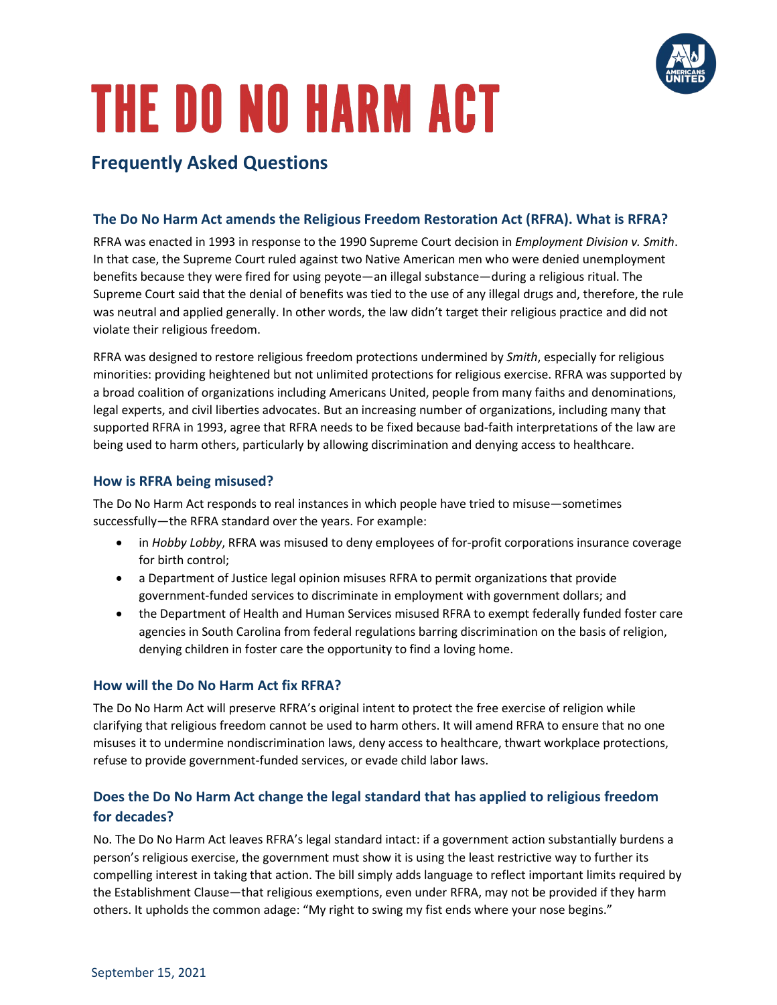

# **THE DO NO HARM ACT**

# **Frequently Asked Questions**

## **The Do No Harm Act amends the Religious Freedom Restoration Act (RFRA). What is RFRA?**

RFRA was enacted in 1993 in response to the 1990 Supreme Court decision in *Employment Division v. Smith*. In that case, the Supreme Court ruled against two Native American men who were denied unemployment benefits because they were fired for using peyote—an illegal substance—during a religious ritual. The Supreme Court said that the denial of benefits was tied to the use of any illegal drugs and, therefore, the rule was neutral and applied generally. In other words, the law didn't target their religious practice and did not violate their religious freedom.

RFRA was designed to restore religious freedom protections undermined by *Smith*, especially for religious minorities: providing heightened but not unlimited protections for religious exercise. RFRA was supported by a broad coalition of organizations including Americans United, people from many faiths and denominations, legal experts, and civil liberties advocates. But an increasing number of organizations, including many that supported RFRA in 1993, agree that RFRA needs to be fixed because bad-faith interpretations of the law are being used to harm others, particularly by allowing discrimination and denying access to healthcare.

#### **How is RFRA being misused?**

The Do No Harm Act responds to real instances in which people have tried to misuse—sometimes successfully—the RFRA standard over the years. For example:

- in *Hobby Lobby*, RFRA was misused to deny employees of for-profit corporations insurance coverage for birth control;
- a Department of Justice legal opinion misuses RFRA to permit organizations that provide government-funded services to discriminate in employment with government dollars; and
- the Department of Health and Human Services misused RFRA to exempt federally funded foster care agencies in South Carolina from federal regulations barring discrimination on the basis of religion, denying children in foster care the opportunity to find a loving home.

#### **How will the Do No Harm Act fix RFRA?**

The Do No Harm Act will preserve RFRA's original intent to protect the free exercise of religion while clarifying that religious freedom cannot be used to harm others. It will amend RFRA to ensure that no one misuses it to undermine nondiscrimination laws, deny access to healthcare, thwart workplace protections, refuse to provide government-funded services, or evade child labor laws.

# **Does the Do No Harm Act change the legal standard that has applied to religious freedom for decades?**

No. The Do No Harm Act leaves RFRA's legal standard intact: if a government action substantially burdens a person's religious exercise, the government must show it is using the least restrictive way to further its compelling interest in taking that action. The bill simply adds language to reflect important limits required by the Establishment Clause—that religious exemptions, even under RFRA, may not be provided if they harm others. It upholds the common adage: "My right to swing my fist ends where your nose begins."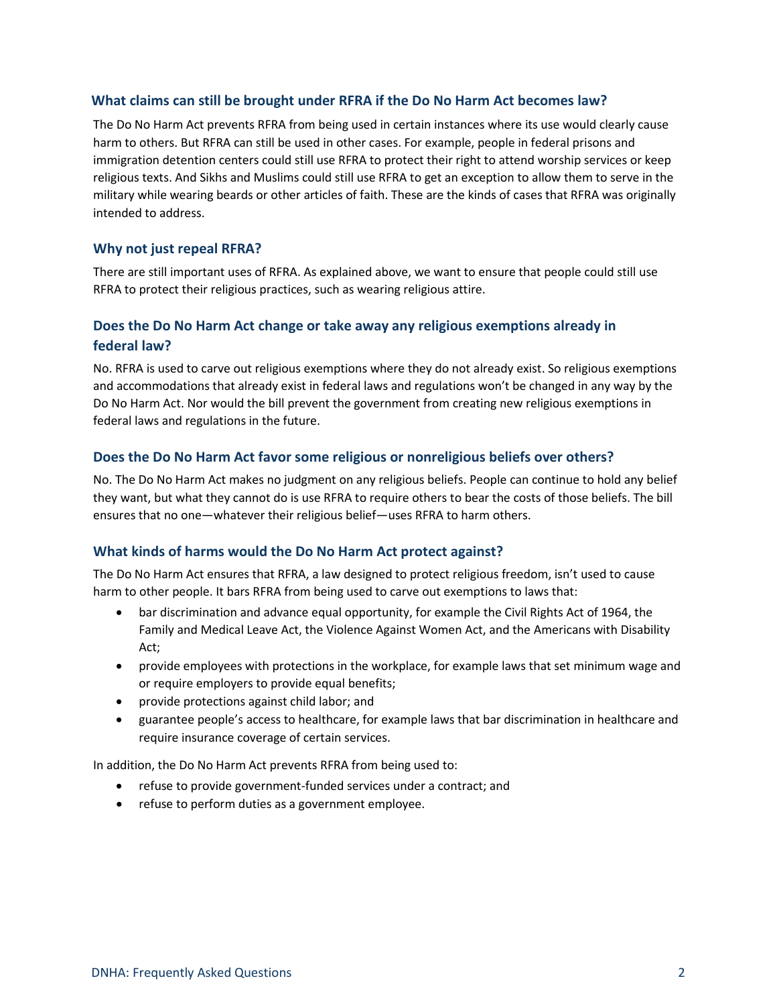#### **What claims can still be brought under RFRA if the Do No Harm Act becomes law?**

The Do No Harm Act prevents RFRA from being used in certain instances where its use would clearly cause harm to others. But RFRA can still be used in other cases. For example, people in federal prisons and immigration detention centers could still use RFRA to protect their right to attend worship services or keep religious texts. And Sikhs and Muslims could still use RFRA to get an exception to allow them to serve in the military while wearing beards or other articles of faith. These are the kinds of cases that RFRA was originally intended to address.

#### **Why not just repeal RFRA?**

There are still important uses of RFRA. As explained above, we want to ensure that people could still use RFRA to protect their religious practices, such as wearing religious attire.

## **Does the Do No Harm Act change or take away any religious exemptions already in federal law?**

No. RFRA is used to carve out religious exemptions where they do not already exist. So religious exemptions and accommodations that already exist in federal laws and regulations won't be changed in any way by the Do No Harm Act. Nor would the bill prevent the government from creating new religious exemptions in federal laws and regulations in the future.

#### **Does the Do No Harm Act favor some religious or nonreligious beliefs over others?**

No. The Do No Harm Act makes no judgment on any religious beliefs. People can continue to hold any belief they want, but what they cannot do is use RFRA to require others to bear the costs of those beliefs. The bill ensures that no one—whatever their religious belief—uses RFRA to harm others.

#### **What kinds of harms would the Do No Harm Act protect against?**

The Do No Harm Act ensures that RFRA, a law designed to protect religious freedom, isn't used to cause harm to other people. It bars RFRA from being used to carve out exemptions to laws that:

- bar discrimination and advance equal opportunity, for example the Civil Rights Act of 1964, the Family and Medical Leave Act, the Violence Against Women Act, and the Americans with Disability Act;
- provide employees with protections in the workplace, for example laws that set minimum wage and or require employers to provide equal benefits;
- provide protections against child labor; and
- guarantee people's access to healthcare, for example laws that bar discrimination in healthcare and require insurance coverage of certain services.

In addition, the Do No Harm Act prevents RFRA from being used to:

- refuse to provide government-funded services under a contract; and
- refuse to perform duties as a government employee.